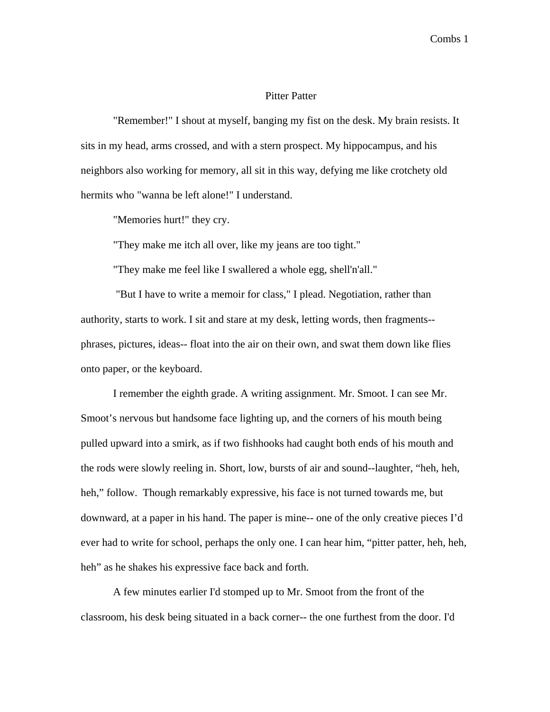## Pitter Patter

"Remember!" I shout at myself, banging my fist on the desk. My brain resists. It sits in my head, arms crossed, and with a stern prospect. My hippocampus, and his neighbors also working for memory, all sit in this way, defying me like crotchety old hermits who "wanna be left alone!" I understand.

"Memories hurt!" they cry.

"They make me itch all over, like my jeans are too tight."

"They make me feel like I swallered a whole egg, shell'n'all."

 "But I have to write a memoir for class," I plead. Negotiation, rather than authority, starts to work. I sit and stare at my desk, letting words, then fragments- phrases, pictures, ideas-- float into the air on their own, and swat them down like flies onto paper, or the keyboard.

I remember the eighth grade. A writing assignment. Mr. Smoot. I can see Mr. Smoot's nervous but handsome face lighting up, and the corners of his mouth being pulled upward into a smirk, as if two fishhooks had caught both ends of his mouth and the rods were slowly reeling in. Short, low, bursts of air and sound--laughter, "heh, heh, heh," follow. Though remarkably expressive, his face is not turned towards me, but downward, at a paper in his hand. The paper is mine-- one of the only creative pieces I'd ever had to write for school, perhaps the only one. I can hear him, "pitter patter, heh, heh, heh" as he shakes his expressive face back and forth.

A few minutes earlier I'd stomped up to Mr. Smoot from the front of the classroom, his desk being situated in a back corner-- the one furthest from the door. I'd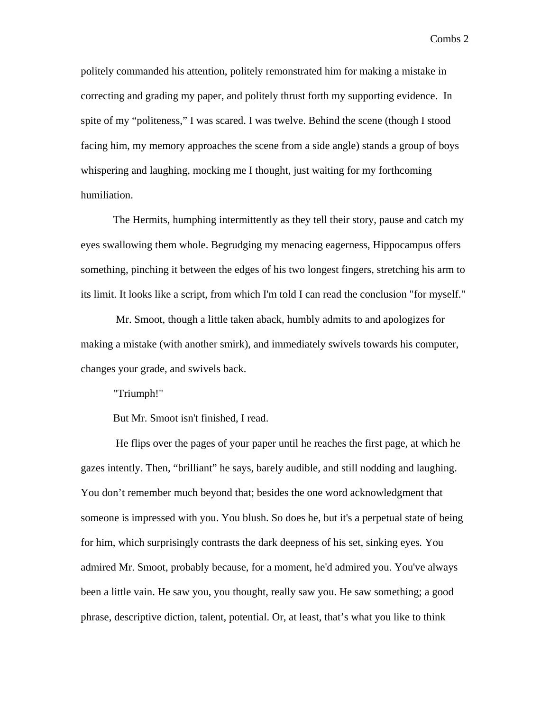politely commanded his attention, politely remonstrated him for making a mistake in correcting and grading my paper, and politely thrust forth my supporting evidence. In spite of my "politeness," I was scared. I was twelve. Behind the scene (though I stood facing him, my memory approaches the scene from a side angle) stands a group of boys whispering and laughing, mocking me I thought, just waiting for my forthcoming humiliation.

The Hermits, humphing intermittently as they tell their story, pause and catch my eyes swallowing them whole. Begrudging my menacing eagerness, Hippocampus offers something, pinching it between the edges of his two longest fingers, stretching his arm to its limit. It looks like a script, from which I'm told I can read the conclusion "for myself."

 Mr. Smoot, though a little taken aback, humbly admits to and apologizes for making a mistake (with another smirk), and immediately swivels towards his computer, changes your grade, and swivels back.

"Triumph!"

But Mr. Smoot isn't finished, I read.

 He flips over the pages of your paper until he reaches the first page, at which he gazes intently. Then, "brilliant" he says, barely audible, and still nodding and laughing. You don't remember much beyond that; besides the one word acknowledgment that someone is impressed with you. You blush. So does he, but it's a perpetual state of being for him, which surprisingly contrasts the dark deepness of his set, sinking eyes*.* You admired Mr. Smoot, probably because, for a moment, he'd admired you. You've always been a little vain. He saw you, you thought, really saw you. He saw something; a good phrase, descriptive diction, talent, potential. Or, at least, that's what you like to think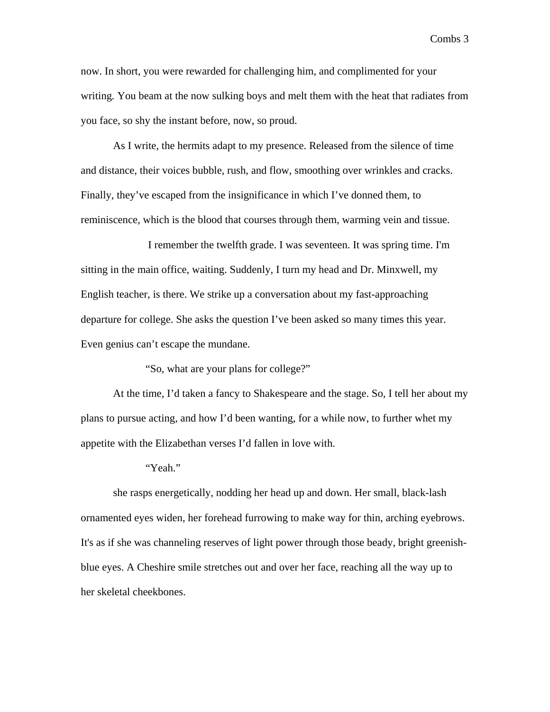now. In short, you were rewarded for challenging him, and complimented for your writing*.* You beam at the now sulking boys and melt them with the heat that radiates from you face, so shy the instant before, now, so proud.

As I write, the hermits adapt to my presence. Released from the silence of time and distance, their voices bubble, rush, and flow, smoothing over wrinkles and cracks. Finally, they've escaped from the insignificance in which I've donned them, to reminiscence, which is the blood that courses through them, warming vein and tissue.

 I remember the twelfth grade. I was seventeen. It was spring time. I'm sitting in the main office, waiting. Suddenly, I turn my head and Dr. Minxwell, my English teacher, is there. We strike up a conversation about my fast-approaching departure for college. She asks the question I've been asked so many times this year. Even genius can't escape the mundane.

"So, what are your plans for college?"

At the time, I'd taken a fancy to Shakespeare and the stage. So, I tell her about my plans to pursue acting, and how I'd been wanting, for a while now, to further whet my appetite with the Elizabethan verses I'd fallen in love with.

"Yeah."

she rasps energetically, nodding her head up and down. Her small, black-lash ornamented eyes widen, her forehead furrowing to make way for thin, arching eyebrows. It's as if she was channeling reserves of light power through those beady, bright greenishblue eyes. A Cheshire smile stretches out and over her face, reaching all the way up to her skeletal cheekbones.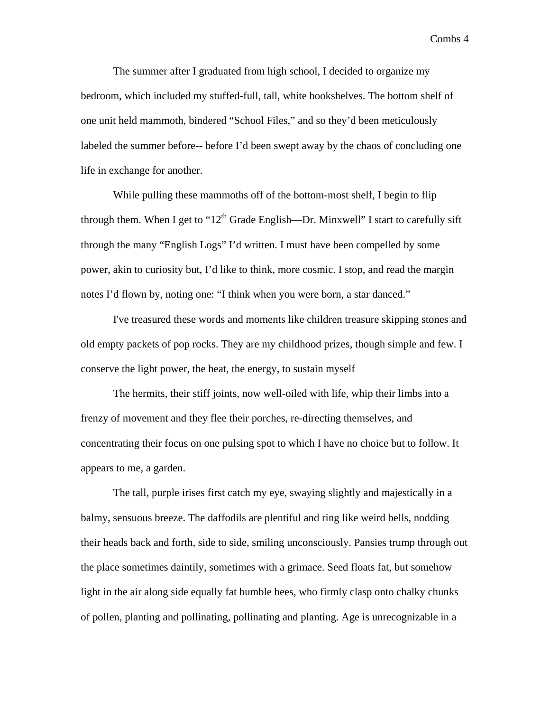The summer after I graduated from high school, I decided to organize my bedroom, which included my stuffed-full, tall, white bookshelves. The bottom shelf of one unit held mammoth, bindered "School Files," and so they'd been meticulously labeled the summer before-- before I'd been swept away by the chaos of concluding one life in exchange for another.

While pulling these mammoths off of the bottom-most shelf, I begin to flip through them. When I get to " $12<sup>th</sup>$  Grade English—Dr. Minxwell" I start to carefully sift through the many "English Logs" I'd written. I must have been compelled by some power, akin to curiosity but, I'd like to think, more cosmic. I stop, and read the margin notes I'd flown by, noting one: "I think when you were born, a star danced."

I've treasured these words and moments like children treasure skipping stones and old empty packets of pop rocks. They are my childhood prizes, though simple and few. I conserve the light power, the heat, the energy, to sustain myself

The hermits, their stiff joints, now well-oiled with life, whip their limbs into a frenzy of movement and they flee their porches, re-directing themselves, and concentrating their focus on one pulsing spot to which I have no choice but to follow. It appears to me, a garden.

The tall, purple irises first catch my eye, swaying slightly and majestically in a balmy, sensuous breeze. The daffodils are plentiful and ring like weird bells, nodding their heads back and forth, side to side, smiling unconsciously. Pansies trump through out the place sometimes daintily, sometimes with a grimace. Seed floats fat, but somehow light in the air along side equally fat bumble bees, who firmly clasp onto chalky chunks of pollen, planting and pollinating, pollinating and planting. Age is unrecognizable in a